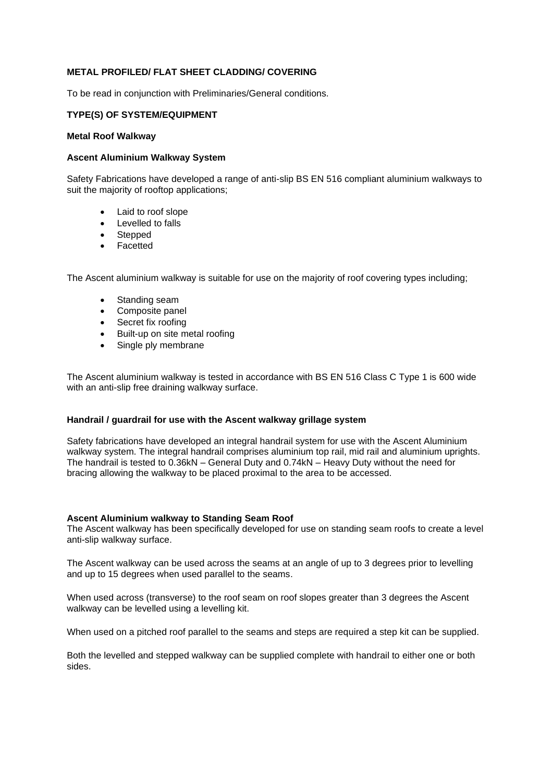# **METAL PROFILED/ FLAT SHEET CLADDING/ COVERING**

To be read in conjunction with Preliminaries/General conditions.

### **TYPE(S) OF SYSTEM/EQUIPMENT**

### **Metal Roof Walkway**

## **Ascent Aluminium Walkway System**

Safety Fabrications have developed a range of anti-slip BS EN 516 compliant aluminium walkways to suit the majority of rooftop applications;

- Laid to roof slope
- Levelled to falls
- Stepped
- **Facetted**

The Ascent aluminium walkway is suitable for use on the majority of roof covering types including;

- Standing seam
- Composite panel
- Secret fix roofing
- Built-up on site metal roofing
- Single ply membrane

The Ascent aluminium walkway is tested in accordance with BS EN 516 Class C Type 1 is 600 wide with an anti-slip free draining walkway surface.

#### **Handrail / guardrail for use with the Ascent walkway grillage system**

Safety fabrications have developed an integral handrail system for use with the Ascent Aluminium walkway system. The integral handrail comprises aluminium top rail, mid rail and aluminium uprights. The handrail is tested to 0.36kN – General Duty and 0.74kN – Heavy Duty without the need for bracing allowing the walkway to be placed proximal to the area to be accessed.

#### **Ascent Aluminium walkway to Standing Seam Roof**

The Ascent walkway has been specifically developed for use on standing seam roofs to create a level anti-slip walkway surface.

The Ascent walkway can be used across the seams at an angle of up to 3 degrees prior to levelling and up to 15 degrees when used parallel to the seams.

When used across (transverse) to the roof seam on roof slopes greater than 3 degrees the Ascent walkway can be levelled using a levelling kit.

When used on a pitched roof parallel to the seams and steps are required a step kit can be supplied.

Both the levelled and stepped walkway can be supplied complete with handrail to either one or both sides.